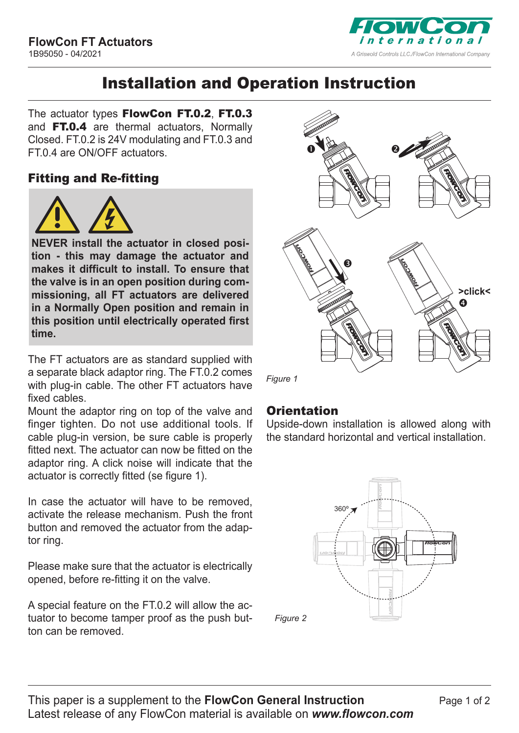

# Installation and Operation Instruction

The actuator types FlowCon FT.0.2, FT.0.3 and **FT.0.4** are thermal actuators, Normally Closed. FT.0.2 is 24V modulating and FT.0.3 and FT.0.4 are ON/OFF actuators.

#### Fitting and Re-fitting



**NEVER install the actuator in closed position - this may damage the actuator and makes it difficult to install. To ensure that the valve is in an open position during commissioning, all FT actuators are delivered in a Normally Open position and remain in this position until electrically operated first time.** 

The FT actuators are as standard supplied with a separate black adaptor ring. The FT.0.2 comes with plug-in cable. The other FT actuators have fixed cables.

Mount the adaptor ring on top of the valve and finger tighten. Do not use additional tools. If cable plug-in version, be sure cable is properly fitted next. The actuator can now be fitted on the adaptor ring. A click noise will indicate that the actuator is correctly fitted (se figure 1).

In case the actuator will have to be removed, activate the release mechanism. Push the front button and removed the actuator from the adaptor ring.

Please make sure that the actuator is electrically opened, before re-fitting it on the valve.

A special feature on the FT.0.2 will allow the actuator to become tamper proof as the push button can be removed.



230 [V](http://www.flowcon.com) [NC 1,2 W](http://www.flowcon.com)

*Figure 1*

### **Orientation**

Upside-down installation is allowed along with the standard horizontal and vertical installation.